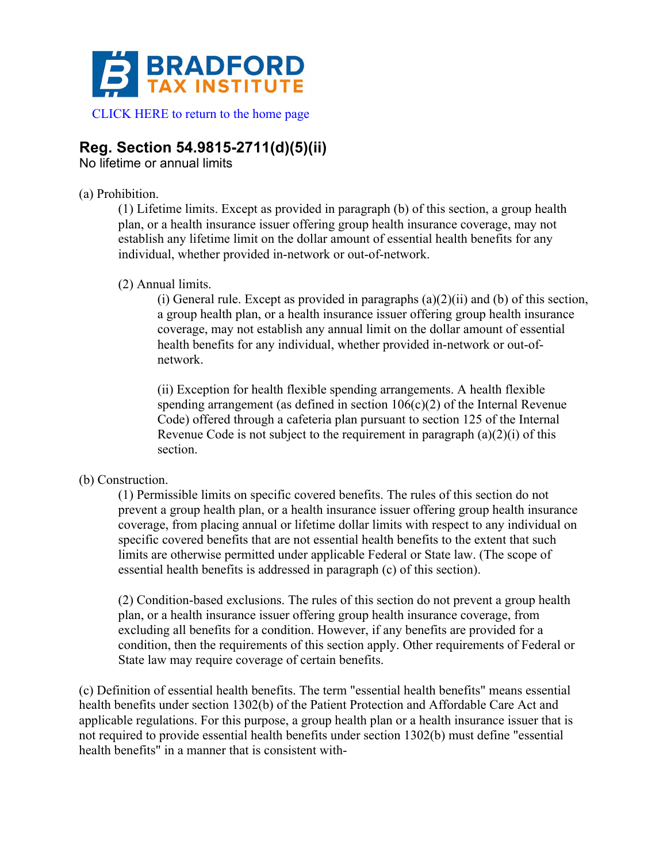

## **Reg. Section 54.9815-2711(d)(5)(ii)**

No lifetime or annual limits

## (a) Prohibition.

(1) Lifetime limits. Except as provided in paragraph (b) of this section, a group health plan, or a health insurance issuer offering group health insurance coverage, may not establish any lifetime limit on the dollar amount of essential health benefits for any individual, whether provided in-network or out-of-network.

## (2) Annual limits.

(i) General rule. Except as provided in paragraphs  $(a)(2)(ii)$  and  $(b)$  of this section, a group health plan, or a health insurance issuer offering group health insurance coverage, may not establish any annual limit on the dollar amount of essential health benefits for any individual, whether provided in-network or out-ofnetwork.

(ii) Exception for health flexible spending arrangements. A health flexible spending arrangement (as defined in section  $106(c)(2)$  of the Internal Revenue Code) offered through a cafeteria plan pursuant to section 125 of the Internal Revenue Code is not subject to the requirement in paragraph  $(a)(2)(i)$  of this section.

## (b) Construction.

(1) Permissible limits on specific covered benefits. The rules of this section do not prevent a group health plan, or a health insurance issuer offering group health insurance coverage, from placing annual or lifetime dollar limits with respect to any individual on specific covered benefits that are not essential health benefits to the extent that such limits are otherwise permitted under applicable Federal or State law. (The scope of essential health benefits is addressed in paragraph (c) of this section).

(2) Condition-based exclusions. The rules of this section do not prevent a group health plan, or a health insurance issuer offering group health insurance coverage, from excluding all benefits for a condition. However, if any benefits are provided for a condition, then the requirements of this section apply. Other requirements of Federal or State law may require coverage of certain benefits.

(c) Definition of essential health benefits. The term "essential health benefits" means essential health benefits under section 1302(b) of the Patient Protection and Affordable Care Act and applicable regulations. For this purpose, a group health plan or a health insurance issuer that is not required to provide essential health benefits under section 1302(b) must define "essential health benefits" in a manner that is consistent with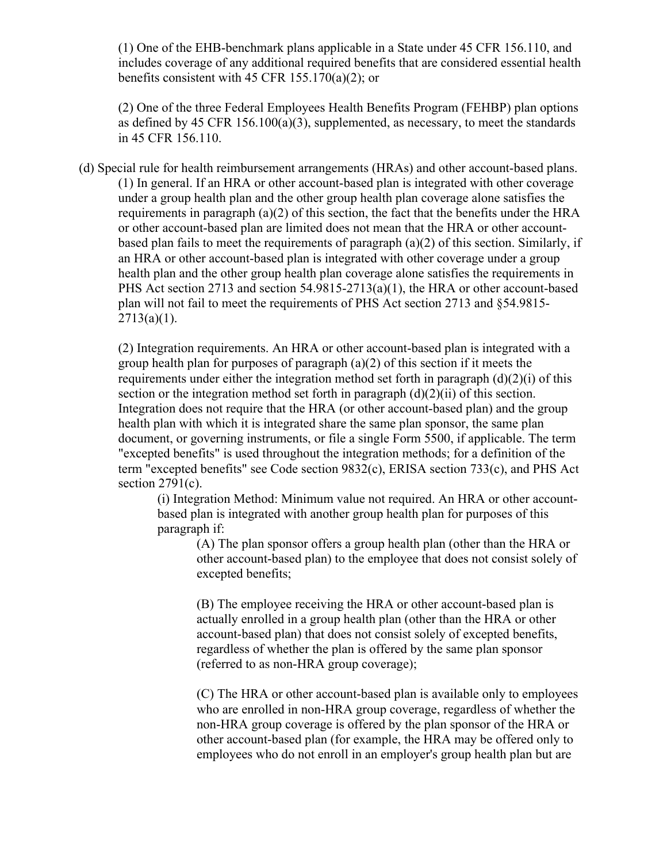(1) One of the EHB-benchmark plans applicable in a State under 45 CFR 156.110, and includes coverage of any additional required benefits that are considered essential health benefits consistent with 45 CFR 155.170(a)(2); or

(2) One of the three Federal Employees Health Benefits Program (FEHBP) plan options as defined by 45 CFR 156.100(a)(3), supplemented, as necessary, to meet the standards in 45 CFR 156.110.

(d) Special rule for health reimbursement arrangements (HRAs) and other account-based plans. (1) In general. If an HRA or other account-based plan is integrated with other coverage under a group health plan and the other group health plan coverage alone satisfies the requirements in paragraph (a)(2) of this section, the fact that the benefits under the HRA or other account-based plan are limited does not mean that the HRA or other accountbased plan fails to meet the requirements of paragraph (a)(2) of this section. Similarly, if an HRA or other account-based plan is integrated with other coverage under a group health plan and the other group health plan coverage alone satisfies the requirements in PHS Act section 2713 and section 54.9815-2713(a)(1), the HRA or other account-based plan will not fail to meet the requirements of PHS Act section 2713 and §54.9815-  $2713(a)(1)$ .

(2) Integration requirements. An HRA or other account-based plan is integrated with a group health plan for purposes of paragraph  $(a)(2)$  of this section if it meets the requirements under either the integration method set forth in paragraph  $(d)(2)(i)$  of this section or the integration method set forth in paragraph  $(d)(2)(ii)$  of this section. Integration does not require that the HRA (or other account-based plan) and the group health plan with which it is integrated share the same plan sponsor, the same plan document, or governing instruments, or file a single Form 5500, if applicable. The term "excepted benefits" is used throughout the integration methods; for a definition of the term "excepted benefits" see Code section 9832(c), ERISA section 733(c), and PHS Act section  $2791(c)$ .

(i) Integration Method: Minimum value not required. An HRA or other accountbased plan is integrated with another group health plan for purposes of this paragraph if:

(A) The plan sponsor offers a group health plan (other than the HRA or other account-based plan) to the employee that does not consist solely of excepted benefits;

(B) The employee receiving the HRA or other account-based plan is actually enrolled in a group health plan (other than the HRA or other account-based plan) that does not consist solely of excepted benefits, regardless of whether the plan is offered by the same plan sponsor (referred to as non-HRA group coverage);

(C) The HRA or other account-based plan is available only to employees who are enrolled in non-HRA group coverage, regardless of whether the non-HRA group coverage is offered by the plan sponsor of the HRA or other account-based plan (for example, the HRA may be offered only to employees who do not enroll in an employer's group health plan but are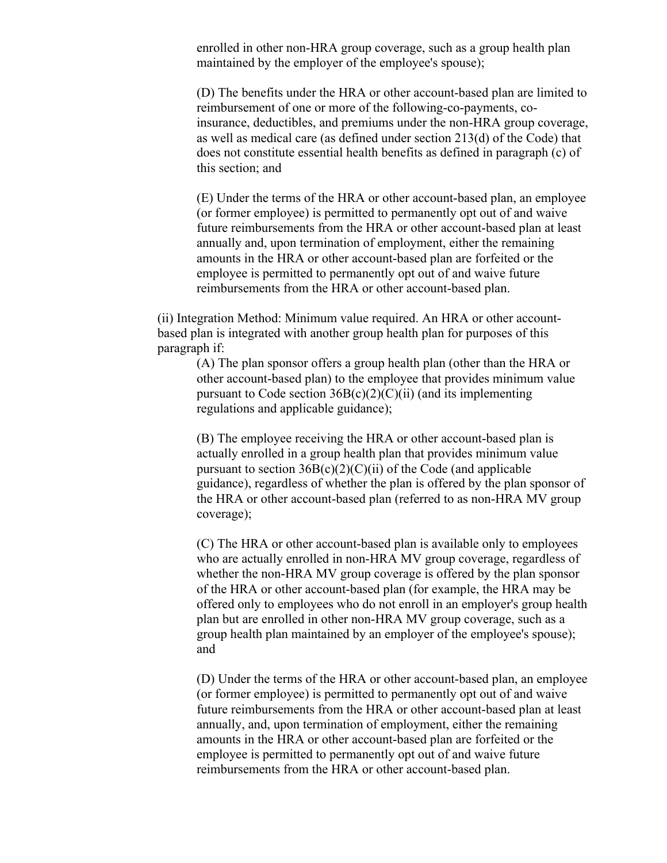enrolled in other non-HRA group coverage, such as a group health plan maintained by the employer of the employee's spouse);

(D) The benefits under the HRA or other account-based plan are limited to reimbursement of one or more of the following-co-payments, coinsurance, deductibles, and premiums under the non-HRA group coverage, as well as medical care (as defined under section 213(d) of the Code) that does not constitute essential health benefits as defined in paragraph (c) of this section; and

(E) Under the terms of the HRA or other account-based plan, an employee (or former employee) is permitted to permanently opt out of and waive future reimbursements from the HRA or other account-based plan at least annually and, upon termination of employment, either the remaining amounts in the HRA or other account-based plan are forfeited or the employee is permitted to permanently opt out of and waive future reimbursements from the HRA or other account-based plan.

(ii) Integration Method: Minimum value required. An HRA or other accountbased plan is integrated with another group health plan for purposes of this paragraph if:

(A) The plan sponsor offers a group health plan (other than the HRA or other account-based plan) to the employee that provides minimum value pursuant to Code section  $36B(c)(2)(C)(ii)$  (and its implementing regulations and applicable guidance);

(B) The employee receiving the HRA or other account-based plan is actually enrolled in a group health plan that provides minimum value pursuant to section  $36B(c)(2)(C)(ii)$  of the Code (and applicable guidance), regardless of whether the plan is offered by the plan sponsor of the HRA or other account-based plan (referred to as non-HRA MV group coverage);

(C) The HRA or other account-based plan is available only to employees who are actually enrolled in non-HRA MV group coverage, regardless of whether the non-HRA MV group coverage is offered by the plan sponsor of the HRA or other account-based plan (for example, the HRA may be offered only to employees who do not enroll in an employer's group health plan but are enrolled in other non-HRA MV group coverage, such as a group health plan maintained by an employer of the employee's spouse); and

(D) Under the terms of the HRA or other account-based plan, an employee (or former employee) is permitted to permanently opt out of and waive future reimbursements from the HRA or other account-based plan at least annually, and, upon termination of employment, either the remaining amounts in the HRA or other account-based plan are forfeited or the employee is permitted to permanently opt out of and waive future reimbursements from the HRA or other account-based plan.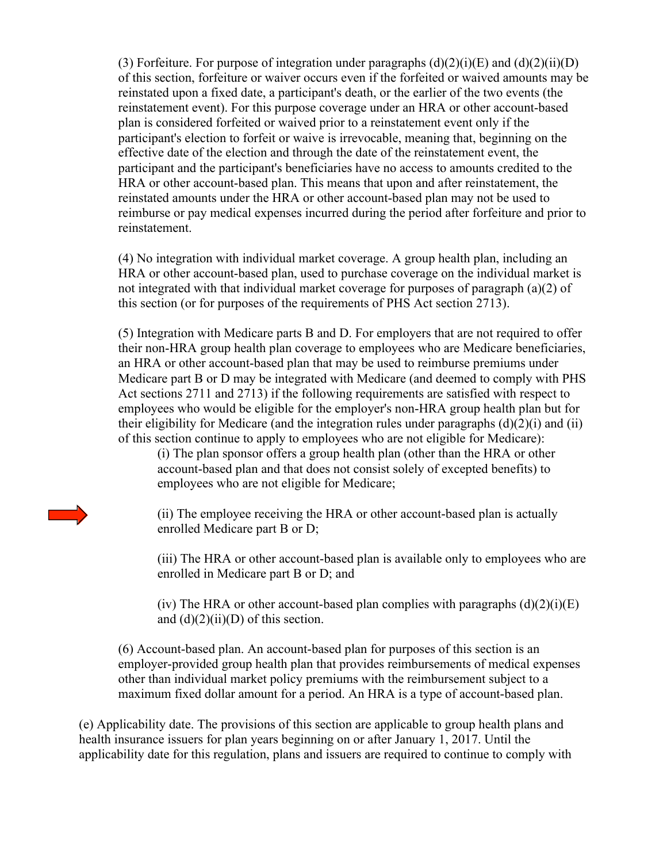(3) Forfeiture. For purpose of integration under paragraphs  $(d)(2)(i)(E)$  and  $(d)(2)(ii)(D)$ of this section, forfeiture or waiver occurs even if the forfeited or waived amounts may be reinstated upon a fixed date, a participant's death, or the earlier of the two events (the reinstatement event). For this purpose coverage under an HRA or other account-based plan is considered forfeited or waived prior to a reinstatement event only if the participant's election to forfeit or waive is irrevocable, meaning that, beginning on the effective date of the election and through the date of the reinstatement event, the participant and the participant's beneficiaries have no access to amounts credited to the HRA or other account-based plan. This means that upon and after reinstatement, the reinstated amounts under the HRA or other account-based plan may not be used to reimburse or pay medical expenses incurred during the period after forfeiture and prior to reinstatement.

(4) No integration with individual market coverage. A group health plan, including an HRA or other account-based plan, used to purchase coverage on the individual market is not integrated with that individual market coverage for purposes of paragraph (a)(2) of this section (or for purposes of the requirements of PHS Act section 2713).

(5) Integration with Medicare parts B and D. For employers that are not required to offer their non-HRA group health plan coverage to employees who are Medicare beneficiaries, an HRA or other account-based plan that may be used to reimburse premiums under Medicare part B or D may be integrated with Medicare (and deemed to comply with PHS Act sections 2711 and 2713) if the following requirements are satisfied with respect to employees who would be eligible for the employer's non-HRA group health plan but for their eligibility for Medicare (and the integration rules under paragraphs  $(d)(2)(i)$  and  $(ii)$ of this section continue to apply to employees who are not eligible for Medicare):

(i) The plan sponsor offers a group health plan (other than the HRA or other account-based plan and that does not consist solely of excepted benefits) to employees who are not eligible for Medicare;

(ii) The employee receiving the HRA or other account-based plan is actually enrolled Medicare part B or D;

(iii) The HRA or other account-based plan is available only to employees who are enrolled in Medicare part B or D; and

(iv) The HRA or other account-based plan complies with paragraphs  $(d)(2)(i)(E)$ and  $(d)(2)(ii)(D)$  of this section.

(6) Account-based plan. An account-based plan for purposes of this section is an employer-provided group health plan that provides reimbursements of medical expenses other than individual market policy premiums with the reimbursement subject to a maximum fixed dollar amount for a period. An HRA is a type of account-based plan.

(e) Applicability date. The provisions of this section are applicable to group health plans and health insurance issuers for plan years beginning on or after January 1, 2017. Until the applicability date for this regulation, plans and issuers are required to continue to comply with